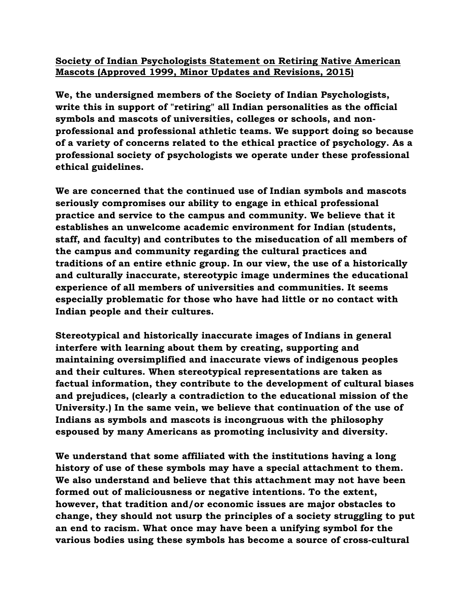## **Society of Indian Psychologists Statement on Retiring Native American Mascots (Approved 1999, Minor Updates and Revisions, 2015)**

**We, the undersigned members of the Society of Indian Psychologists, write this in support of "retiring" all Indian personalities as the official symbols and mascots of universities, colleges or schools, and nonprofessional and professional athletic teams. We support doing so because of a variety of concerns related to the ethical practice of psychology. As a professional society of psychologists we operate under these professional ethical guidelines.**

**We are concerned that the continued use of Indian symbols and mascots seriously compromises our ability to engage in ethical professional practice and service to the campus and community. We believe that it establishes an unwelcome academic environment for Indian (students, staff, and faculty) and contributes to the miseducation of all members of the campus and community regarding the cultural practices and traditions of an entire ethnic group. In our view, the use of a historically and culturally inaccurate, stereotypic image undermines the educational experience of all members of universities and communities. It seems especially problematic for those who have had little or no contact with Indian people and their cultures.**

**Stereotypical and historically inaccurate images of Indians in general interfere with learning about them by creating, supporting and maintaining oversimplified and inaccurate views of indigenous peoples and their cultures. When stereotypical representations are taken as factual information, they contribute to the development of cultural biases and prejudices, (clearly a contradiction to the educational mission of the University.) In the same vein, we believe that continuation of the use of Indians as symbols and mascots is incongruous with the philosophy espoused by many Americans as promoting inclusivity and diversity.**

**We understand that some affiliated with the institutions having a long history of use of these symbols may have a special attachment to them. We also understand and believe that this attachment may not have been formed out of maliciousness or negative intentions. To the extent, however, that tradition and/or economic issues are major obstacles to change, they should not usurp the principles of a society struggling to put an end to racism. What once may have been a unifying symbol for the various bodies using these symbols has become a source of cross-cultural**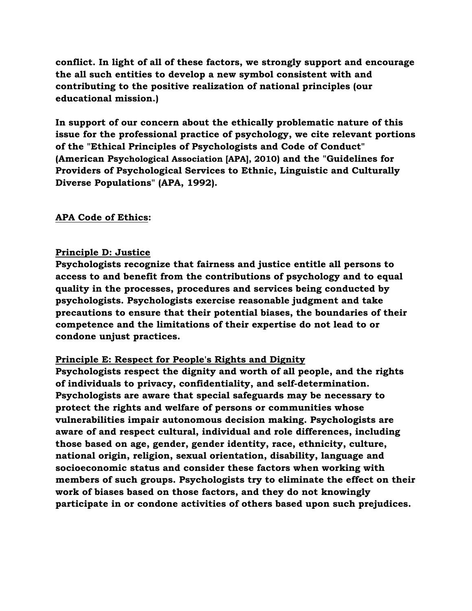**conflict. In light of all of these factors, we strongly support and encourage the all such entities to develop a new symbol consistent with and contributing to the positive realization of national principles (our educational mission.)**

**In support of our concern about the ethically problematic nature of this issue for the professional practice of psychology, we cite relevant portions of the "Ethical Principles of Psychologists and Code of Conduct" (American Psychological Association [APA], 2010) and the "Guidelines for Providers of Psychological Services to Ethnic, Linguistic and Culturally Diverse Populations" (APA, 1992).**

### **APA Code of Ethics:**

### **Principle D: Justice**

**Psychologists recognize that fairness and justice entitle all persons to access to and benefit from the contributions of psychology and to equal quality in the processes, procedures and services being conducted by psychologists. Psychologists exercise reasonable judgment and take precautions to ensure that their potential biases, the boundaries of their competence and the limitations of their expertise do not lead to or condone unjust practices.**

### **Principle E: Respect for People's Rights and Dignity**

**Psychologists respect the dignity and worth of all people, and the rights of individuals to privacy, confidentiality, and self-determination. Psychologists are aware that special safeguards may be necessary to protect the rights and welfare of persons or communities whose vulnerabilities impair autonomous decision making. Psychologists are aware of and respect cultural, individual and role differences, including those based on age, gender, gender identity, race, ethnicity, culture, national origin, religion, sexual orientation, disability, language and socioeconomic status and consider these factors when working with members of such groups. Psychologists try to eliminate the effect on their work of biases based on those factors, and they do not knowingly participate in or condone activities of others based upon such prejudices.**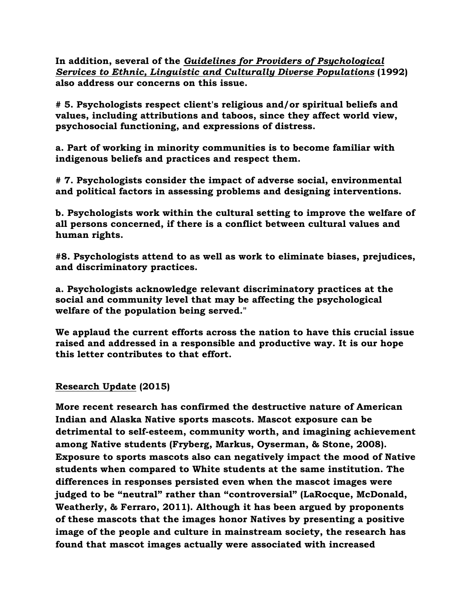**In addition, several of the** *Guidelines for Providers of Psychological Services to Ethnic, Linguistic and Culturally Diverse Populations* **(1992) also address our concerns on this issue.**

**# 5. Psychologists respect client's religious and/or spiritual beliefs and values, including attributions and taboos, since they affect world view, psychosocial functioning, and expressions of distress.** 

**a. Part of working in minority communities is to become familiar with indigenous beliefs and practices and respect them.**

**# 7. Psychologists consider the impact of adverse social, environmental and political factors in assessing problems and designing interventions.**

**b. Psychologists work within the cultural setting to improve the welfare of all persons concerned, if there is a conflict between cultural values and human rights.**

**#8. Psychologists attend to as well as work to eliminate biases, prejudices, and discriminatory practices.**

**a. Psychologists acknowledge relevant discriminatory practices at the social and community level that may be affecting the psychological welfare of the population being served."**

**We applaud the current efforts across the nation to have this crucial issue raised and addressed in a responsible and productive way. It is our hope this letter contributes to that effort.**

# **Research Update (2015)**

**More recent research has confirmed the destructive nature of American Indian and Alaska Native sports mascots. Mascot exposure can be detrimental to self-esteem, community worth, and imagining achievement among Native students (Fryberg, Markus, Oyserman, & Stone, 2008). Exposure to sports mascots also can negatively impact the mood of Native students when compared to White students at the same institution. The differences in responses persisted even when the mascot images were judged to be "neutral" rather than "controversial" (LaRocque, McDonald, Weatherly, & Ferraro, 2011). Although it has been argued by proponents of these mascots that the images honor Natives by presenting a positive image of the people and culture in mainstream society, the research has found that mascot images actually were associated with increased**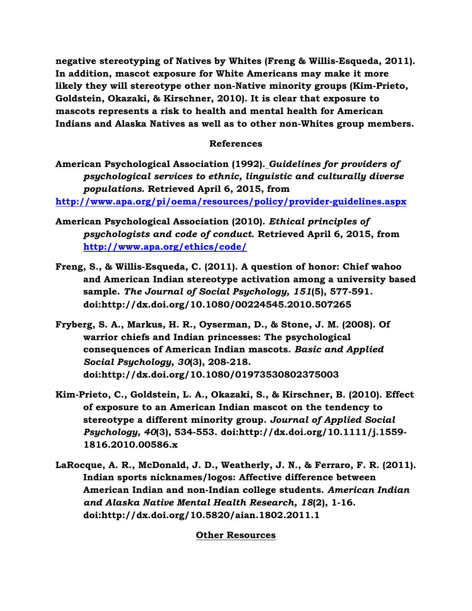**negative stereotyping of Natives by Whites (Freng & Willis-Esqueda, 2011). In addition, mascot exposure for White Americans may make it more likely they will stereotype other non-Native minority groups (Kim-Prieto, Goldstein, Okazaki, & Kirschner, 2010). It is clear that exposure to mascots represents a risk to health and mental health for American Indians and Alaska Natives as well as to other non-Whites group members.** 

### **References**

**American Psychological Association (1992).** *Guidelines for providers of psychological services to ethnic, linguistic and culturally diverse populations***. Retrieved April 6, 2015, from** 

**<http://www.apa.org/pi/oema/resources/policy/provider-guidelines.aspx>**

- **American Psychological Association (2010).** *Ethical principles of psychologists and code of conduct***. Retrieved April 6, 2015, from <http://www.apa.org/ethics/code/>**
- **Freng, S., & Willis-Esqueda, C. (2011). A question of honor: Chief wahoo and American Indian stereotype activation among a university based sample.** *The Journal of Social Psychology, 151***(5), 577-591. doi:http://dx.doi.org/10.1080/00224545.2010.507265**
- **Fryberg, S. A., Markus, H. R., Oyserman, D., & Stone, J. M. (2008). Of warrior chiefs and Indian princesses: The psychological consequences of American Indian mascots.** *Basic and Applied Social Psychology, 30***(3), 208-218. doi:http://dx.doi.org/10.1080/01973530802375003**
- **Kim-Prieto, C., Goldstein, L. A., Okazaki, S., & Kirschner, B. (2010). Effect of exposure to an American Indian mascot on the tendency to stereotype a different minority group.** *Journal of Applied Social Psychology, 40***(3), 534-553. doi:http://dx.doi.org/10.1111/j.1559- 1816.2010.00586.x**
- **LaRocque, A. R., McDonald, J. D., Weatherly, J. N., & Ferraro, F. R. (2011). Indian sports nicknames/logos: Affective difference between American Indian and non-Indian college students.** *American Indian and Alaska Native Mental Health Research, 18***(2), 1-16. doi:http://dx.doi.org/10.5820/aian.1802.2011.1**

#### **Other Resources**